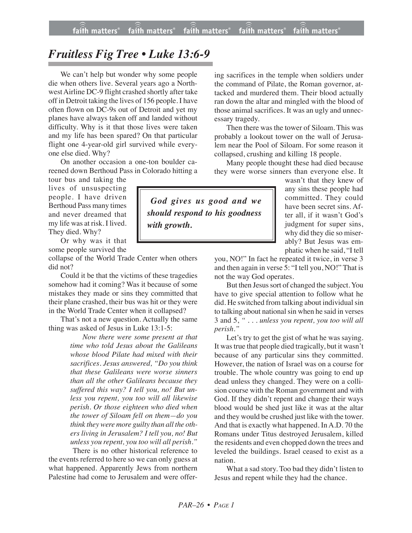## *Fruitless Fig Tree • Luke 13:6-9*

We can't help but wonder why some people die when others live. Several years ago a Northwest Airline DC-9 flight crashed shortly after take off in Detroit taking the lives of 156 people. I have often flown on DC-9s out of Detroit and yet my planes have always taken off and landed without difficulty. Why is it that those lives were taken and my life has been spared? On that particular flight one 4-year-old girl survived while everyone else died. Why?

On another occasion a one-ton boulder careened down Berthoud Pass in Colorado hitting a

tour bus and taking the lives of unsuspecting people. I have driven Berthoud Pass many times and never dreamed that my life was at risk. I lived. They died. Why?

Or why was it that some people survived the

collapse of the World Trade Center when others did not?

Could it be that the victims of these tragedies somehow had it coming? Was it because of some mistakes they made or sins they committed that their plane crashed, their bus was hit or they were in the World Trade Center when it collapsed?

That's not a new question. Actually the same thing was asked of Jesus in Luke 13:1-5:

> *Now there were some present at that time who told Jesus about the Galileans whose blood Pilate had mixed with their sacrifices. Jesus answered, "Do you think that these Galileans were worse sinners than all the other Galileans because they suffered this way? I tell you, no! But unless you repent, you too will all likewise perish. Or those eighteen who died when the tower of Siloam fell on them—do you think they were more guilty than all the others living in Jerusalem? I tell you, no! But unless you repent, you too will all perish."*

There is no other historical reference to the events referred to here so we can only guess at what happened. Apparently Jews from northern Palestine had come to Jerusalem and were offering sacrifices in the temple when soldiers under the command of Pilate, the Roman governor, attacked and murdered them. Their blood actually ran down the altar and mingled with the blood of those animal sacrifices. It was an ugly and unnecessary tragedy.

Then there was the tower of Siloam. This was probably a lookout tower on the wall of Jerusalem near the Pool of Siloam. For some reason it collapsed, crushing and killing 18 people.

Many people thought these had died because they were worse sinners than everyone else. It

> wasn't that they knew of any sins these people had committed. They could have been secret sins. After all, if it wasn't God's judgment for super sins, why did they die so miserably? But Jesus was emphatic when he said, "I tell

you, NO!" In fact he repeated it twice, in verse 3 and then again in verse 5: "I tell you, NO!" That is not the way God operates.

But then Jesus sort of changed the subject. You have to give special attention to follow what he did. He switched from talking about individual sin to talking about national sin when he said in verses 3 and 5, *" . . . unless you repent, you too will all perish."*

Let's try to get the gist of what he was saying. It wastrue that people died tragically, but it wasn't because of any particular sins they committed. However, the nation of Israel was on a course for trouble. The whole country was going to end up dead unless they changed. They were on a collision course with the Roman government and with God. If they didn't repent and change their ways blood would be shed just like it was at the altar and they would be crushed just like with the tower. And that is exactly what happened. In A.D. 70 the Romans under Titus destroyed Jerusalem, killed the residents and even chopped down the trees and leveled the buildings. Israel ceased to exist as a nation.

What a sad story. Too bad they didn't listen to Jesus and repent while they had the chance.

*God gives us good and we should respond to his goodness with growth.*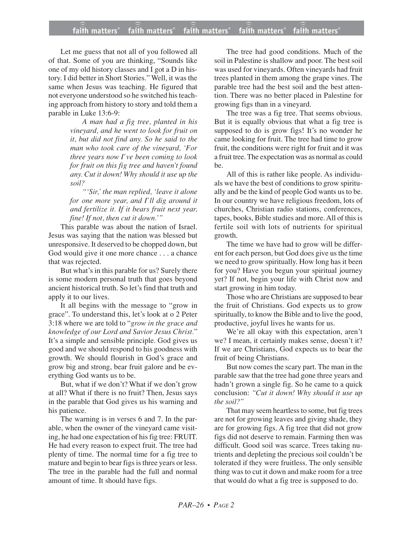## **faith matters® faith matters® faith matters® faith matters® faith matters®** ))) ))) faith matters<sup>®</sup> faith matters<sup>®</sup> faith matters

Let me guess that not all of you followed all of that. Some of you are thinking, "Sounds like one of my old history classes and I got a D in history. I did better in Short Stories." Well, it was the same when Jesus was teaching. He figured that not everyone understood so he switched his teaching approach from history to story and told them a parable in Luke 13:6-9:

> *A man had a fig tree, planted in his vineyard, and he went to look for fruit on it, but did not find any. So he said to the man who took care of the vineyard, 'For three years now I've been coming to look for fruit on this fig tree and haven't found any. Cut it down! Why should it use up the soil?*

> *"'Sir,' the man replied, 'leave it alone for one more year, and I'll dig around it and fertilize it. If it bears fruit next year, fine! If not, then cut it down.'"*

This parable was about the nation of Israel. Jesus was saying that the nation was blessed but unresponsive. It deserved to be chopped down, but God would give it one more chance . . . a chance that was rejected.

But what's in this parable for us? Surely there is some modern personal truth that goes beyond ancient historical truth. So let's find that truth and apply it to our lives.

It all begins with the message to "grow in grace". To understand this, let's look at o 2 Peter 3:18 where we are told to "*grow in the grace and knowledge of our Lord and Savior Jesus Christ.*" It's a simple and sensible principle. God gives us good and we should respond to his goodness with growth. We should flourish in God's grace and grow big and strong, bear fruit galore and be everything God wants us to be.

But, what if we don't? What if we don't grow at all? What if there is no fruit? Then, Jesus says in the parable that God gives us his warning and his patience.

The warning is in verses 6 and 7. In the parable, when the owner of the vineyard came visiting, he had one expectation of his fig tree: FRUIT. He had every reason to expect fruit. The tree had plenty of time. The normal time for a fig tree to mature and begin to bear figs is three years or less. The tree in the parable had the full and normal amount of time. It should have figs.

The tree had good conditions. Much of the soil in Palestine is shallow and poor. The best soil was used for vineyards. Often vineyards had fruit trees planted in them among the grape vines. The parable tree had the best soil and the best attention. There was no better placed in Palestine for growing figs than in a vineyard.

The tree was a fig tree. That seems obvious. But it is equally obvious that what a fig tree is supposed to do is grow figs! It's no wonder he came looking for fruit. The tree had time to grow fruit, the conditions were right for fruit and it was a fruit tree. The expectation was as normal as could be.

All of this is rather like people. As individuals we have the best of conditions to grow spiritually and be the kind of people God wants us to be. In our country we have religious freedom, lots of churches, Christian radio stations, conferences, tapes, books, Bible studies and more. All of this is fertile soil with lots of nutrients for spiritual growth.

The time we have had to grow will be different for each person, but God does give us the time we need to grow spiritually. How long has it been for you? Have you begun your spiritual journey yet? If not, begin your life with Christ now and start growing in him today.

Those who are Christians are supposed to bear the fruit of Christians. God expects us to grow spiritually, to know the Bible and to live the good, productive, joyful lives he wants for us.

We're all okay with this expectation, aren't we? I mean, it certainly makes sense, doesn't it? If we are Christians, God expects us to bear the fruit of being Christians.

But now comes the scary part. The man in the parable saw that the tree had gone three years and hadn't grown a single fig. So he came to a quick conclusion: *"Cut it down! Why should it use up the soil?"*

That may seem heartless to some, but fig trees are not for growing leaves and giving shade, they are for growing figs. A fig tree that did not grow figs did not deserve to remain. Farming then was difficult. Good soil was scarce. Trees taking nutrients and depleting the precious soil couldn't be tolerated if they were fruitless. The only sensible thing was to cut it down and make room for a tree that would do what a fig tree is supposed to do.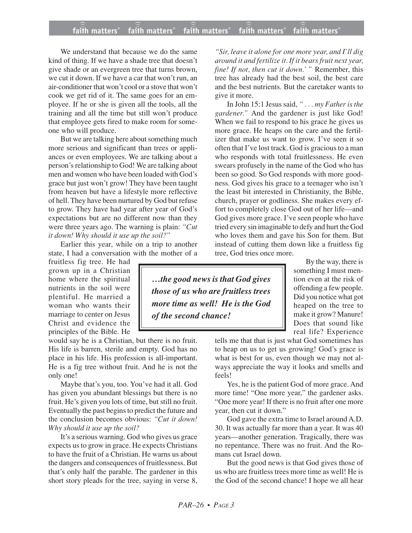## **faith matters® faith matters® faith matters® faith matters® faith matters®** ))) ))) faith matters® faith matters® faith matters

We understand that because we do the same kind of thing. If we have a shade tree that doesn't give shade or an evergreen tree that turns brown, we cut it down. If we have a car that won't run, an air-conditioner that won't cool or a stove that won't cook we get rid of it. The same goes for an employee. If he or she is given all the tools, all the training and all the time but still won't produce that employee gets fired to make room for someone who will produce.

But we are talking here about something much more serious and significant than trees or appliances or even employees. We are talking about a person's relationship to God! We are talking about men and women who have been loaded with God's grace but just won't grow! They have been taught from heaven but have a lifestyle more reflective of hell. They have been nurtured by God but refuse to grow. They have had year after year of God's expectations but are no different now than they were three years ago. The warning is plain: *"Cut it down! Why should it use up the soil?"*

Earlier this year, while on a trip to another state, I had a conversation with the mother of a

fruitless fig tree. He had grown up in a Christian home where the spiritual nutrients in the soil were plentiful. He married a woman who wants their marriage to center on Jesus Christ and evidence the principles of the Bible. He

would say he is a Christian, but there is no fruit. His life is barren, sterile and empty. God has no place in his life. His profession is all-important. He is a fig tree without fruit. And he is not the only one!

Maybe that's you, too. You've had it all. God has given you abundant blessings but there is no fruit. He's given you lots of time, but still no fruit. Eventually the past begins to predict the future and the conclusion becomes obvious: *"Cut it down! Why should it use up the soil?*

It's a serious warning. God who gives us grace expects us to grow in grace. He expects Christians to have the fruit of a Christian. He warns us about the dangers and consequences of fruitlessness. But that's only half the parable. The gardener in this short story pleads for the tree, saying in verse 8,

*"Sir, leave it alone for one more year, and I'll dig around it and fertilize it. If it bears fruit next year, fine! If not, then cut it down.' "* Remember, this tree has already had the best soil, the best care and the best nutrients. But the caretaker wants to give it more.

In John 15:1 Jesus said, *" . . . my Father is the gardener."* And the gardener is just like God! When we fail to respond to his grace he gives us more grace. He heaps on the care and the fertilizer that make us want to grow. I've seen it so often that I've lost track. God is gracious to a man who responds with total fruitlessness. He even swears profusely in the name of the God who has been so good. So God responds with more goodness. God gives his grace to a teenager who isn't the least bit interested in Christianity, the Bible, church, prayer or godliness. She makes every effort to completely close God out of her life—and God gives more grace. I've seen people who have tried every sin imaginable to defy and hurt the God who loves them and gave his Son for them. But instead of cutting them down like a fruitless fig tree, God tries once more.

*…the good news is that God gives those of us who are fruitless trees more time as well! He is the God of the second chance!*

By the way, there is something I must mention even at the risk of offending a few people. Did you notice what got heaped on the tree to make it grow? Manure! Does that sound like real life? Experience

tells me that that is just what God sometimes has to heap on us to get us growing! God's grace is what is best for us, even though we may not always appreciate the way it looks and smells and feels!

Yes, he is the patient God of more grace. And more time! "One more year," the gardener asks. "One more year! If there is no fruit after one more year, then cut it down."

God gave the extra time to Israel around A.D. 30. It was actually far more than a year. It was 40 years—another generation. Tragically, there was no repentance. There was no fruit. And the Romans cut Israel down.

But the good news is that God gives those of us who are fruitless trees more time as well! He is the God of the second chance! I hope we all hear